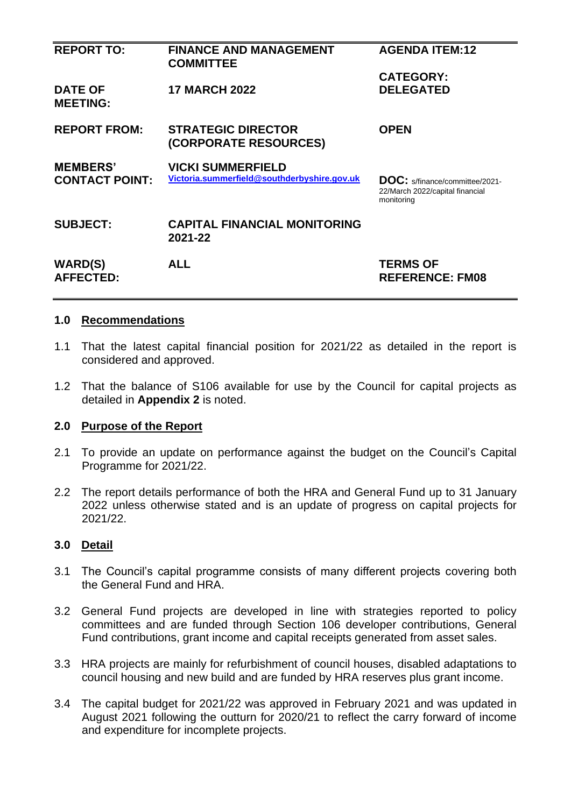| <b>REPORT TO:</b>                        | <b>FINANCE AND MANAGEMENT</b><br><b>COMMITTEE</b>                       | <b>AGENDA ITEM:12</b>                                                                  |
|------------------------------------------|-------------------------------------------------------------------------|----------------------------------------------------------------------------------------|
| <b>DATE OF</b><br><b>MEETING:</b>        | <b>17 MARCH 2022</b>                                                    | <b>CATEGORY:</b><br><b>DELEGATED</b>                                                   |
| <b>REPORT FROM:</b>                      | <b>STRATEGIC DIRECTOR</b><br>(CORPORATE RESOURCES)                      | <b>OPEN</b>                                                                            |
| <b>MEMBERS'</b><br><b>CONTACT POINT:</b> | <b>VICKI SUMMERFIELD</b><br>Victoria.summerfield@southderbyshire.gov.uk | <b>DOC:</b> s/finance/committee/2021-<br>22/March 2022/capital financial<br>monitoring |
| <b>SUBJECT:</b>                          | <b>CAPITAL FINANCIAL MONITORING</b><br>2021-22                          |                                                                                        |
| <b>WARD(S)</b><br><b>AFFECTED:</b>       | <b>ALL</b>                                                              | <b>TERMS OF</b><br><b>REFERENCE: FM08</b>                                              |

#### **1.0 Recommendations**

- 1.1 That the latest capital financial position for 2021/22 as detailed in the report is considered and approved.
- 1.2 That the balance of S106 available for use by the Council for capital projects as detailed in **Appendix 2** is noted.

### **2.0 Purpose of the Report**

- 2.1 To provide an update on performance against the budget on the Council's Capital Programme for 2021/22.
- 2.2 The report details performance of both the HRA and General Fund up to 31 January 2022 unless otherwise stated and is an update of progress on capital projects for 2021/22.

### **3.0 Detail**

- 3.1 The Council's capital programme consists of many different projects covering both the General Fund and HRA.
- 3.2 General Fund projects are developed in line with strategies reported to policy committees and are funded through Section 106 developer contributions, General Fund contributions, grant income and capital receipts generated from asset sales.
- 3.3 HRA projects are mainly for refurbishment of council houses, disabled adaptations to council housing and new build and are funded by HRA reserves plus grant income.
- 3.4 The capital budget for 2021/22 was approved in February 2021 and was updated in August 2021 following the outturn for 2020/21 to reflect the carry forward of income and expenditure for incomplete projects.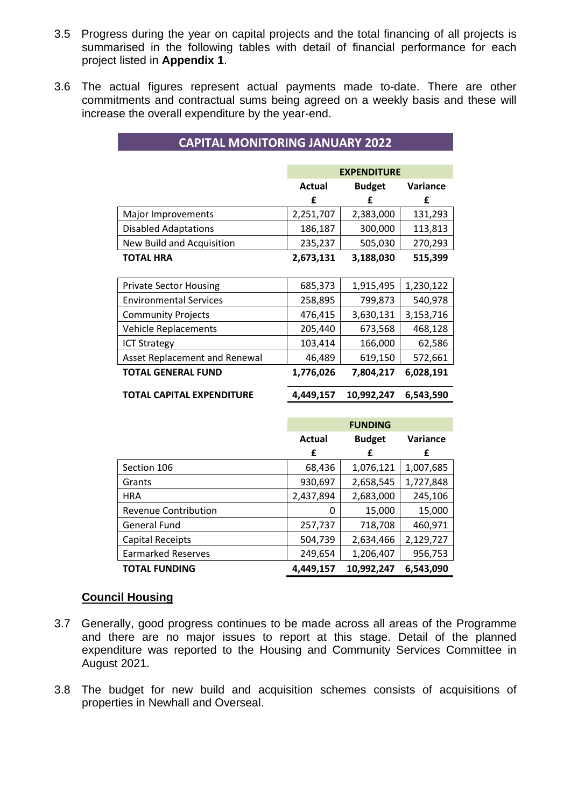- 3.5 Progress during the year on capital projects and the total financing of all projects is summarised in the following tables with detail of financial performance for each project listed in **Appendix 1**.
- 3.6 The actual figures represent actual payments made to-date. There are other commitments and contractual sums being agreed on a weekly basis and these will increase the overall expenditure by the year-end.

**CAPITAL MONITORING JANUARY 2022**

|                                      |           | <b>EXPENDITURE</b> |                 |
|--------------------------------------|-----------|--------------------|-----------------|
|                                      | Actual    | <b>Budget</b>      | <b>Variance</b> |
|                                      | f         | f                  | £               |
| Major Improvements                   | 2,251,707 | 2,383,000          | 131,293         |
| <b>Disabled Adaptations</b>          | 186,187   | 300,000            | 113,813         |
| New Build and Acquisition            | 235,237   | 505,030            | 270,293         |
| TOTAL HRA                            | 2,673,131 | 3,188,030          | 515,399         |
|                                      |           |                    |                 |
| <b>Private Sector Housing</b>        | 685,373   | 1,915,495          | 1,230,122       |
| <b>Environmental Services</b>        | 258,895   | 799,873            | 540,978         |
| <b>Community Projects</b>            | 476,415   | 3,630,131          | 3,153,716       |
| <b>Vehicle Replacements</b>          | 205,440   | 673,568            | 468,128         |
| <b>ICT Strategy</b>                  | 103,414   | 166,000            | 62,586          |
| <b>Asset Replacement and Renewal</b> | 46,489    | 619,150            | 572,661         |
| <b>TOTAL GENERAL FUND</b>            | 1,776,026 | 7,804,217          | 6,028,191       |
| TOTAL CAPITAL EXPENDITURE            | 4,449,157 | 10,992,247         | 6,543,590       |

|                             |               | <b>FUNDING</b> |           |
|-----------------------------|---------------|----------------|-----------|
|                             | <b>Actual</b> | <b>Budget</b>  | Variance  |
|                             | £             | £              | £         |
| Section 106                 | 68,436        | 1,076,121      | 1,007,685 |
| Grants                      | 930,697       | 2,658,545      | 1,727,848 |
| <b>HRA</b>                  | 2,437,894     | 2,683,000      | 245,106   |
| <b>Revenue Contribution</b> | 0             | 15,000         | 15,000    |
| <b>General Fund</b>         | 257,737       | 718,708        | 460,971   |
| <b>Capital Receipts</b>     | 504,739       | 2,634,466      | 2,129,727 |
| <b>Earmarked Reserves</b>   | 249,654       | 1,206,407      | 956,753   |
| <b>TOTAL FUNDING</b>        | 4,449,157     | 10,992,247     | 6,543,090 |

### **Council Housing**

- 3.7 Generally, good progress continues to be made across all areas of the Programme and there are no major issues to report at this stage. Detail of the planned expenditure was reported to the Housing and Community Services Committee in August 2021.
- 3.8 The budget for new build and acquisition schemes consists of acquisitions of properties in Newhall and Overseal.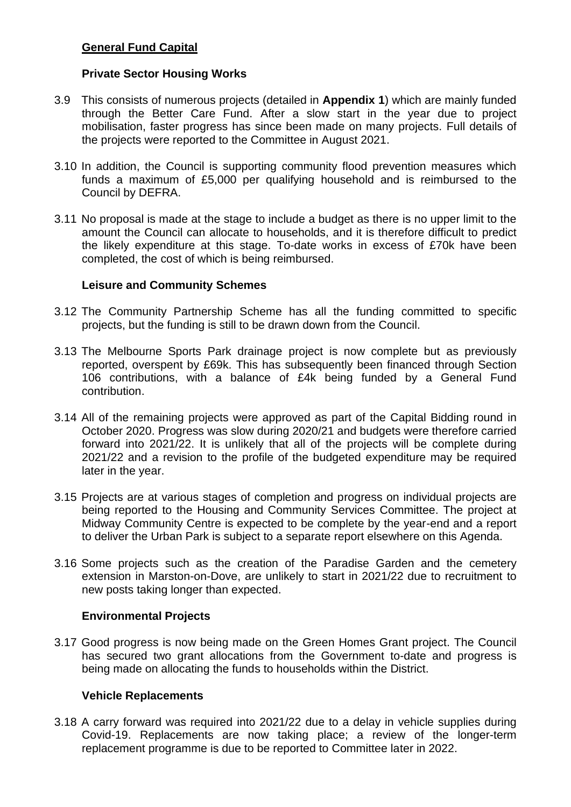# **General Fund Capital**

### **Private Sector Housing Works**

- 3.9 This consists of numerous projects (detailed in **Appendix 1**) which are mainly funded through the Better Care Fund. After a slow start in the year due to project mobilisation, faster progress has since been made on many projects. Full details of the projects were reported to the Committee in August 2021.
- 3.10 In addition, the Council is supporting community flood prevention measures which funds a maximum of £5,000 per qualifying household and is reimbursed to the Council by DEFRA.
- 3.11 No proposal is made at the stage to include a budget as there is no upper limit to the amount the Council can allocate to households, and it is therefore difficult to predict the likely expenditure at this stage. To-date works in excess of £70k have been completed, the cost of which is being reimbursed.

#### **Leisure and Community Schemes**

- 3.12 The Community Partnership Scheme has all the funding committed to specific projects, but the funding is still to be drawn down from the Council.
- 3.13 The Melbourne Sports Park drainage project is now complete but as previously reported, overspent by £69k. This has subsequently been financed through Section 106 contributions, with a balance of £4k being funded by a General Fund contribution.
- 3.14 All of the remaining projects were approved as part of the Capital Bidding round in October 2020. Progress was slow during 2020/21 and budgets were therefore carried forward into 2021/22. It is unlikely that all of the projects will be complete during 2021/22 and a revision to the profile of the budgeted expenditure may be required later in the year.
- 3.15 Projects are at various stages of completion and progress on individual projects are being reported to the Housing and Community Services Committee. The project at Midway Community Centre is expected to be complete by the year-end and a report to deliver the Urban Park is subject to a separate report elsewhere on this Agenda.
- 3.16 Some projects such as the creation of the Paradise Garden and the cemetery extension in Marston-on-Dove, are unlikely to start in 2021/22 due to recruitment to new posts taking longer than expected.

### **Environmental Projects**

3.17 Good progress is now being made on the Green Homes Grant project. The Council has secured two grant allocations from the Government to-date and progress is being made on allocating the funds to households within the District.

#### **Vehicle Replacements**

3.18 A carry forward was required into 2021/22 due to a delay in vehicle supplies during Covid-19. Replacements are now taking place; a review of the longer-term replacement programme is due to be reported to Committee later in 2022.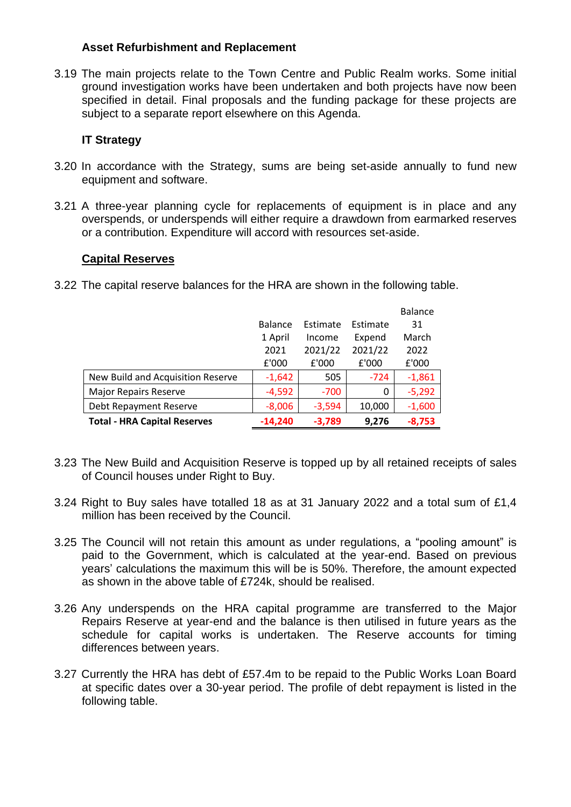# **Asset Refurbishment and Replacement**

3.19 The main projects relate to the Town Centre and Public Realm works. Some initial ground investigation works have been undertaken and both projects have now been specified in detail. Final proposals and the funding package for these projects are subject to a separate report elsewhere on this Agenda.

# **IT Strategy**

- 3.20 In accordance with the Strategy, sums are being set-aside annually to fund new equipment and software.
- 3.21 A three-year planning cycle for replacements of equipment is in place and any overspends, or underspends will either require a drawdown from earmarked reserves or a contribution. Expenditure will accord with resources set-aside.

### **Capital Reserves**

3.22 The capital reserve balances for the HRA are shown in the following table.

|                                     |                |          |          | <b>Balance</b> |
|-------------------------------------|----------------|----------|----------|----------------|
|                                     | <b>Balance</b> | Estimate | Estimate | 31             |
|                                     | 1 April        | Income   | Expend   | March          |
|                                     | 2021           | 2021/22  | 2021/22  | 2022           |
|                                     | £'000          | £'000    | £'000    | £'000          |
| New Build and Acquisition Reserve   | $-1,642$       | 505      | $-724$   | $-1,861$       |
| <b>Major Repairs Reserve</b>        | $-4,592$       | $-700$   | 0        | $-5,292$       |
| Debt Repayment Reserve              | $-8,006$       | $-3,594$ | 10,000   | $-1,600$       |
| <b>Total - HRA Capital Reserves</b> | $-14,240$      | $-3,789$ | 9,276    | $-8,753$       |

- 3.23 The New Build and Acquisition Reserve is topped up by all retained receipts of sales of Council houses under Right to Buy.
- 3.24 Right to Buy sales have totalled 18 as at 31 January 2022 and a total sum of £1,4 million has been received by the Council.
- 3.25 The Council will not retain this amount as under regulations, a "pooling amount" is paid to the Government, which is calculated at the year-end. Based on previous years' calculations the maximum this will be is 50%. Therefore, the amount expected as shown in the above table of £724k, should be realised.
- 3.26 Any underspends on the HRA capital programme are transferred to the Major Repairs Reserve at year-end and the balance is then utilised in future years as the schedule for capital works is undertaken. The Reserve accounts for timing differences between years.
- 3.27 Currently the HRA has debt of £57.4m to be repaid to the Public Works Loan Board at specific dates over a 30-year period. The profile of debt repayment is listed in the following table.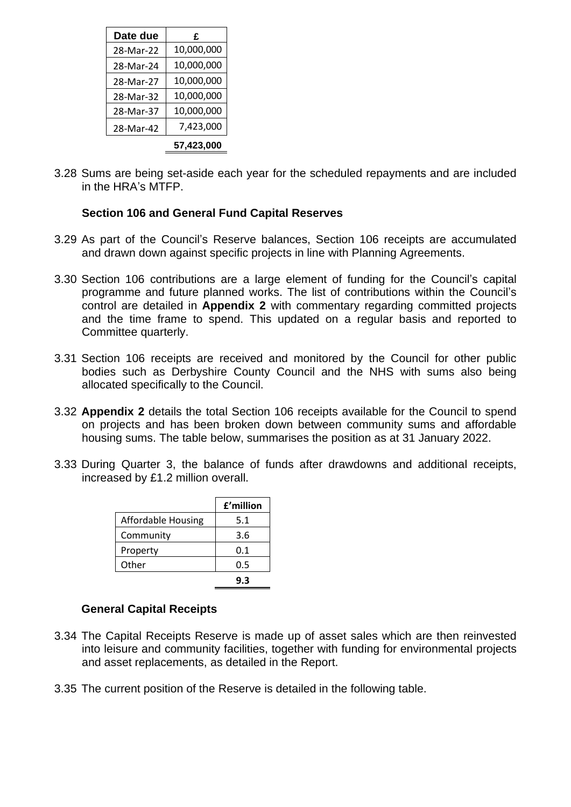| Date due  | £          |
|-----------|------------|
| 28-Mar-22 | 10,000,000 |
| 28-Mar-24 | 10,000,000 |
| 28-Mar-27 | 10,000,000 |
| 28-Mar-32 | 10,000,000 |
| 28-Mar-37 | 10,000,000 |
| 28-Mar-42 | 7,423,000  |
|           | 57.423.000 |

3.28 Sums are being set-aside each year for the scheduled repayments and are included in the HRA's MTFP.

# **Section 106 and General Fund Capital Reserves**

- 3.29 As part of the Council's Reserve balances, Section 106 receipts are accumulated and drawn down against specific projects in line with Planning Agreements.
- 3.30 Section 106 contributions are a large element of funding for the Council's capital programme and future planned works. The list of contributions within the Council's control are detailed in **Appendix 2** with commentary regarding committed projects and the time frame to spend. This updated on a regular basis and reported to Committee quarterly.
- 3.31 Section 106 receipts are received and monitored by the Council for other public bodies such as Derbyshire County Council and the NHS with sums also being allocated specifically to the Council.
- 3.32 **Appendix 2** details the total Section 106 receipts available for the Council to spend on projects and has been broken down between community sums and affordable housing sums. The table below, summarises the position as at 31 January 2022.
- 3.33 During Quarter 3, the balance of funds after drawdowns and additional receipts, increased by £1.2 million overall.

|                           | £'million |
|---------------------------|-----------|
| <b>Affordable Housing</b> | 5.1       |
| Community                 | 3.6       |
| Property                  | 0.1       |
| Other                     | 0.5       |
|                           | 9.3       |

### **General Capital Receipts**

- 3.34 The Capital Receipts Reserve is made up of asset sales which are then reinvested into leisure and community facilities, together with funding for environmental projects and asset replacements, as detailed in the Report.
- 3.35 The current position of the Reserve is detailed in the following table.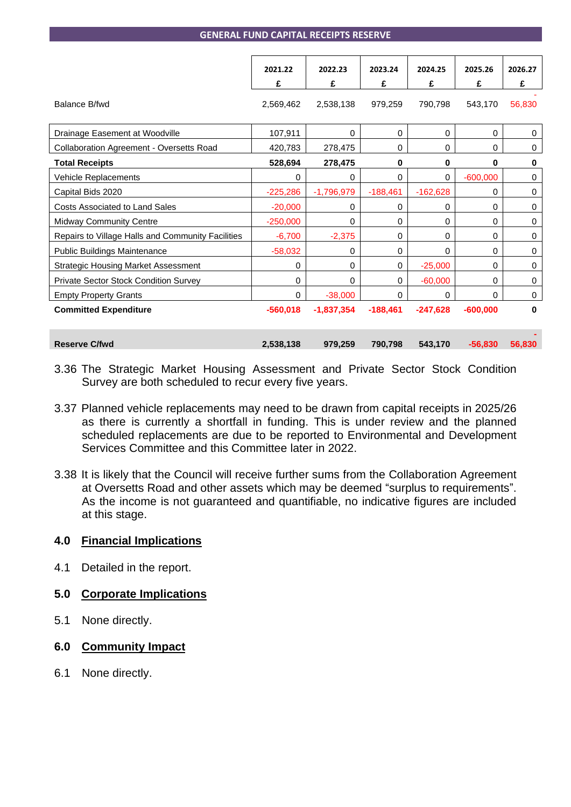|                                                   | 2021.22     | 2022.23      | 2023.24      | 2024.25    | 2025.26     | 2026.27     |
|---------------------------------------------------|-------------|--------------|--------------|------------|-------------|-------------|
|                                                   | £           | £            | £            | £          | £           | £           |
| Balance B/fwd                                     | 2,569,462   | 2,538,138    | 979,259      | 790.798    | 543.170     | 56,830      |
| Drainage Easement at Woodville                    | 107,911     | 0            | $\mathbf 0$  | 0          | $\Omega$    | 0           |
| Collaboration Agreement - Oversetts Road          | 420,783     | 278,475      | $\mathbf 0$  | 0          | $\mathbf 0$ | $\mathbf 0$ |
| <b>Total Receipts</b>                             | 528,694     | 278,475      | 0            | 0          | 0           | $\bf{0}$    |
| Vehicle Replacements                              | $\mathbf 0$ | 0            | $\mathbf 0$  | 0          | $-600,000$  | 0           |
| Capital Bids 2020                                 | $-225,286$  | $-1,796,979$ | $-188,461$   | $-162,628$ | 0           | $\mathbf 0$ |
| <b>Costs Associated to Land Sales</b>             | $-20,000$   | 0            | $\mathbf 0$  | 0          | 0           | 0           |
| <b>Midway Community Centre</b>                    | $-250,000$  | 0            | $\Omega$     | $\Omega$   | $\Omega$    | $\mathbf 0$ |
| Repairs to Village Halls and Community Facilities | $-6,700$    | $-2,375$     | $\mathbf 0$  | 0          | 0           | $\mathbf 0$ |
| <b>Public Buildings Maintenance</b>               | $-58,032$   | 0            | $\mathbf 0$  | 0          | $\Omega$    | $\mathbf 0$ |
| <b>Strategic Housing Market Assessment</b>        | 0           | 0            | $\mathbf{0}$ | $-25,000$  | 0           | 0           |
| <b>Private Sector Stock Condition Survey</b>      | 0           | 0            | $\mathbf{0}$ | $-60,000$  | 0           | 0           |
| <b>Empty Property Grants</b>                      | 0           | $-38,000$    | $\Omega$     | $\Omega$   | $\Omega$    | $\mathbf 0$ |
| <b>Committed Expenditure</b>                      | $-560.018$  | $-1.837.354$ | $-188.461$   | $-247.628$ | $-600.000$  | $\bf{0}$    |
|                                                   |             |              |              |            |             |             |
| <b>Reserve C/fwd</b>                              | 2,538,138   | 979,259      | 790,798      | 543,170    | $-56.830$   | 56,830      |

- 3.36 The Strategic Market Housing Assessment and Private Sector Stock Condition Survey are both scheduled to recur every five years.
- 3.37 Planned vehicle replacements may need to be drawn from capital receipts in 2025/26 as there is currently a shortfall in funding. This is under review and the planned scheduled replacements are due to be reported to Environmental and Development Services Committee and this Committee later in 2022.
- 3.38 It is likely that the Council will receive further sums from the Collaboration Agreement at Oversetts Road and other assets which may be deemed "surplus to requirements". As the income is not guaranteed and quantifiable, no indicative figures are included at this stage.

### **4.0 Financial Implications**

4.1 Detailed in the report.

### **5.0 Corporate Implications**

5.1 None directly.

### **6.0 Community Impact**

6.1 None directly.

#### **GENERAL FUND CAPITAL RECEIPTS RESERVE**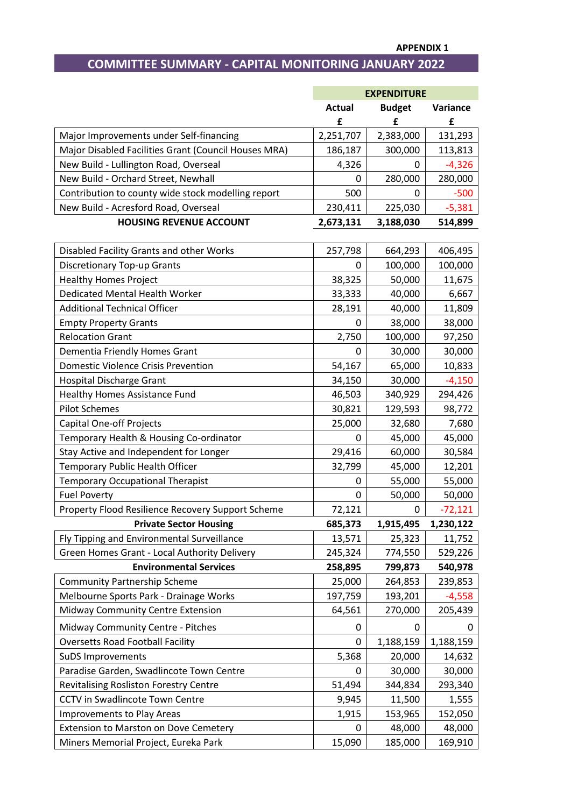# **COMMITTEE SUMMARY - CAPITAL MONITORING JANUARY 2022**

|                                                      |                    | <b>EXPENDITURE</b> |               |
|------------------------------------------------------|--------------------|--------------------|---------------|
|                                                      | <b>Actual</b><br>£ | <b>Budget</b><br>£ | Variance<br>£ |
| Major Improvements under Self-financing              | 2,251,707          | 2,383,000          | 131,293       |
| Major Disabled Facilities Grant (Council Houses MRA) | 186,187            | 300,000            | 113,813       |
| New Build - Lullington Road, Overseal                | 4,326              | 0                  | $-4,326$      |
| New Build - Orchard Street, Newhall                  | 0                  | 280,000            | 280,000       |
| Contribution to county wide stock modelling report   | 500                | 0                  | $-500$        |
| New Build - Acresford Road, Overseal                 | 230,411            | 225,030            | $-5,381$      |
| <b>HOUSING REVENUE ACCOUNT</b>                       | 2,673,131          | 3,188,030          | 514,899       |
| Disabled Facility Grants and other Works             | 257,798            | 664,293            | 406,495       |
| <b>Discretionary Top-up Grants</b>                   | 0                  | 100,000            | 100,000       |
| <b>Healthy Homes Project</b>                         | 38,325             | 50,000             | 11,675        |
| <b>Dedicated Mental Health Worker</b>                | 33,333             | 40,000             | 6,667         |
| <b>Additional Technical Officer</b>                  | 28,191             | 40,000             | 11,809        |
| <b>Empty Property Grants</b>                         | 0                  | 38,000             | 38,000        |
| <b>Relocation Grant</b>                              | 2,750              | 100,000            | 97,250        |
| Dementia Friendly Homes Grant                        | 0                  | 30,000             | 30,000        |
| <b>Domestic Violence Crisis Prevention</b>           | 54,167             | 65,000             | 10,833        |
| Hospital Discharge Grant                             | 34,150             | 30,000             | $-4,150$      |
| <b>Healthy Homes Assistance Fund</b>                 | 46,503             | 340,929            | 294,426       |
| <b>Pilot Schemes</b>                                 | 30,821             | 129,593            | 98,772        |
| <b>Capital One-off Projects</b>                      | 25,000             | 32,680             | 7,680         |
| Temporary Health & Housing Co-ordinator              | 0                  | 45,000             | 45,000        |
| Stay Active and Independent for Longer               | 29,416             | 60,000             | 30,584        |
| Temporary Public Health Officer                      | 32,799             | 45,000             | 12,201        |
| <b>Temporary Occupational Therapist</b>              | 0                  | 55,000             | 55,000        |
| <b>Fuel Poverty</b>                                  | 0                  | 50,000             | 50,000        |
| Property Flood Resilience Recovery Support Scheme    | 72,121             | 0                  | $-72,121$     |
| <b>Private Sector Housing</b>                        | 685,373            | 1,915,495          | 1,230,122     |
| Fly Tipping and Environmental Surveillance           | 13,571             | 25,323             | 11,752        |
| Green Homes Grant - Local Authority Delivery         | 245,324            | 774,550            | 529,226       |
| <b>Environmental Services</b>                        | 258,895            | 799,873            | 540,978       |
| <b>Community Partnership Scheme</b>                  | 25,000             | 264,853            | 239,853       |
| Melbourne Sports Park - Drainage Works               | 197,759            | 193,201            | $-4,558$      |
| Midway Community Centre Extension                    | 64,561             | 270,000            | 205,439       |
| Midway Community Centre - Pitches                    | 0                  | 0                  | 0             |
| <b>Oversetts Road Football Facility</b>              | 0                  | 1,188,159          | 1,188,159     |
| SuDS Improvements                                    | 5,368              | 20,000             | 14,632        |
| Paradise Garden, Swadlincote Town Centre             | 0                  | 30,000             | 30,000        |
| <b>Revitalising Rosliston Forestry Centre</b>        | 51,494             | 344,834            | 293,340       |
| <b>CCTV</b> in Swadlincote Town Centre               | 9,945              | 11,500             | 1,555         |
| Improvements to Play Areas                           | 1,915              | 153,965            | 152,050       |
| Extension to Marston on Dove Cemetery                | 0                  | 48,000             | 48,000        |
| Miners Memorial Project, Eureka Park                 | 15,090             | 185,000            | 169,910       |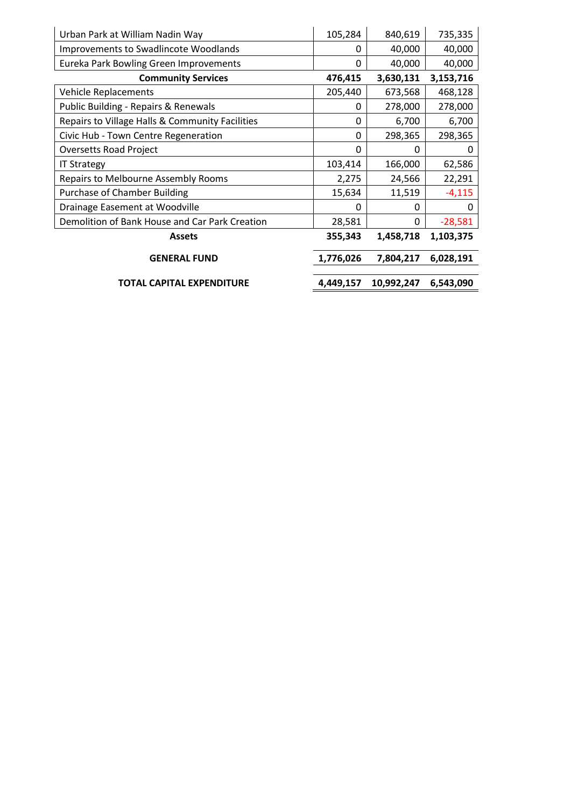| Urban Park at William Nadin Way                 | 105,284   | 840,619    | 735,335   |
|-------------------------------------------------|-----------|------------|-----------|
| <b>Improvements to Swadlincote Woodlands</b>    | 0         | 40,000     | 40,000    |
| Eureka Park Bowling Green Improvements          | 0         | 40,000     | 40,000    |
| <b>Community Services</b>                       | 476,415   | 3,630,131  | 3,153,716 |
| <b>Vehicle Replacements</b>                     | 205,440   | 673,568    | 468,128   |
| Public Building - Repairs & Renewals            | 0         | 278,000    | 278,000   |
| Repairs to Village Halls & Community Facilities | 0         | 6,700      | 6,700     |
| Civic Hub - Town Centre Regeneration            | 0         | 298,365    | 298,365   |
| <b>Oversetts Road Project</b>                   | 0         | O          |           |
| <b>IT Strategy</b>                              | 103,414   | 166,000    | 62,586    |
| Repairs to Melbourne Assembly Rooms             | 2,275     | 24,566     | 22,291    |
| <b>Purchase of Chamber Building</b>             | 15,634    | 11,519     | $-4,115$  |
| Drainage Easement at Woodville                  | ი         | O          |           |
| Demolition of Bank House and Car Park Creation  | 28,581    | 0          | $-28,581$ |
| <b>Assets</b>                                   | 355,343   | 1,458,718  | 1,103,375 |
| <b>GENERAL FUND</b>                             | 1,776,026 | 7,804,217  | 6,028,191 |
| TOTAL CAPITAL EXPENDITURE                       | 4,449,157 | 10,992,247 | 6,543,090 |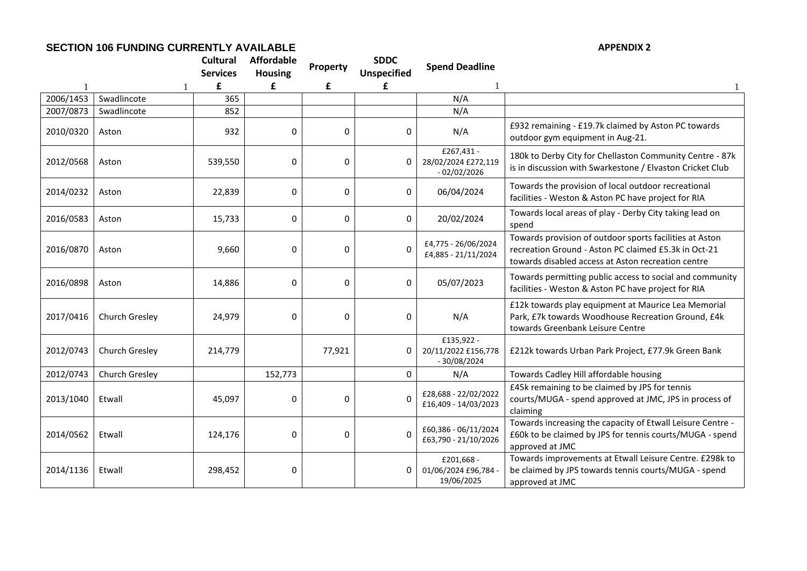#### **SECTION 106 FUNDING CURRENTLY AVAILABLE APPENDIX 2**

|           |                | <b>Cultural</b><br><b>Services</b> | <b>Affordable</b><br><b>Housing</b> | Property    | <b>SDDC</b><br><b>Unspecified</b> | <b>Spend Deadline</b>                              |                                                                                                                                                                       |
|-----------|----------------|------------------------------------|-------------------------------------|-------------|-----------------------------------|----------------------------------------------------|-----------------------------------------------------------------------------------------------------------------------------------------------------------------------|
|           |                | £                                  | £                                   | £           | £                                 |                                                    |                                                                                                                                                                       |
| 2006/1453 | Swadlincote    | 365                                |                                     |             |                                   | N/A                                                |                                                                                                                                                                       |
| 2007/0873 | Swadlincote    | 852                                |                                     |             |                                   | N/A                                                |                                                                                                                                                                       |
| 2010/0320 | Aston          | 932                                | 0                                   | 0           | 0                                 | N/A                                                | £932 remaining - £19.7k claimed by Aston PC towards<br>outdoor gym equipment in Aug-21.                                                                               |
| 2012/0568 | Aston          | 539,550                            | 0                                   | 0           | 0                                 | £267,431 -<br>28/02/2024 £272,119<br>- 02/02/2026  | 180k to Derby City for Chellaston Community Centre - 87k<br>is in discussion with Swarkestone / Elvaston Cricket Club                                                 |
| 2014/0232 | Aston          | 22,839                             | 0                                   | 0           | 0                                 | 06/04/2024                                         | Towards the provision of local outdoor recreational<br>facilities - Weston & Aston PC have project for RIA                                                            |
| 2016/0583 | Aston          | 15,733                             | 0                                   | 0           | 0                                 | 20/02/2024                                         | Towards local areas of play - Derby City taking lead on<br>spend                                                                                                      |
| 2016/0870 | Aston          | 9,660                              | 0                                   | $\mathbf 0$ | $\Omega$                          | £4,775 - 26/06/2024<br>£4,885 - 21/11/2024         | Towards provision of outdoor sports facilities at Aston<br>recreation Ground - Aston PC claimed £5.3k in Oct-21<br>towards disabled access at Aston recreation centre |
| 2016/0898 | Aston          | 14,886                             | 0                                   | $\mathbf 0$ | 0                                 | 05/07/2023                                         | Towards permitting public access to social and community<br>facilities - Weston & Aston PC have project for RIA                                                       |
| 2017/0416 | Church Gresley | 24,979                             | 0                                   | 0           | $\mathbf{0}$                      | N/A                                                | £12k towards play equipment at Maurice Lea Memorial<br>Park, £7k towards Woodhouse Recreation Ground, £4k<br>towards Greenbank Leisure Centre                         |
| 2012/0743 | Church Gresley | 214,779                            |                                     | 77,921      | 0                                 | £135,922 -<br>20/11/2022 £156,778<br>$-30/08/2024$ | £212k towards Urban Park Project, £77.9k Green Bank                                                                                                                   |
| 2012/0743 | Church Gresley |                                    | 152,773                             |             | 0                                 | N/A                                                | Towards Cadley Hill affordable housing                                                                                                                                |
| 2013/1040 | Etwall         | 45,097                             | 0                                   | $\mathbf 0$ | $\Omega$                          | £28,688 - 22/02/2022<br>£16,409 - 14/03/2023       | £45k remaining to be claimed by JPS for tennis<br>courts/MUGA - spend approved at JMC, JPS in process of<br>claiming                                                  |
| 2014/0562 | Etwall         | 124,176                            | 0                                   | $\mathbf 0$ | $\Omega$                          | £60,386 - 06/11/2024<br>£63,790 - 21/10/2026       | Towards increasing the capacity of Etwall Leisure Centre -<br>£60k to be claimed by JPS for tennis courts/MUGA - spend<br>approved at JMC                             |
| 2014/1136 | Etwall         | 298,452                            | 0                                   |             | 0                                 | £201,668 -<br>01/06/2024 £96,784 -<br>19/06/2025   | Towards improvements at Etwall Leisure Centre. £298k to<br>be claimed by JPS towards tennis courts/MUGA - spend<br>approved at JMC                                    |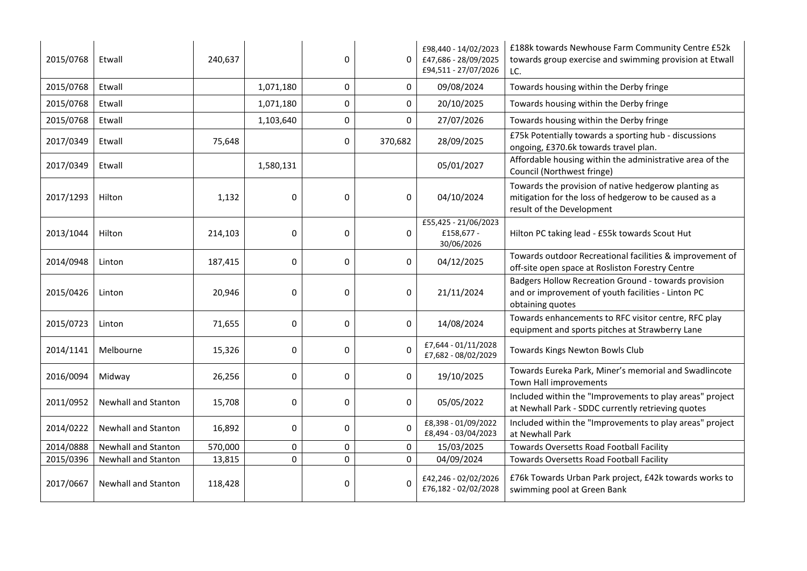| 2015/0768 | Etwall                     | 240,637 |           | 0        | $\Omega$  | £98,440 - 14/02/2023<br>£47,686 - 28/09/2025<br>£94,511 - 27/07/2026 | £188k towards Newhouse Farm Community Centre £52k<br>towards group exercise and swimming provision at Etwall<br>LC.                        |
|-----------|----------------------------|---------|-----------|----------|-----------|----------------------------------------------------------------------|--------------------------------------------------------------------------------------------------------------------------------------------|
| 2015/0768 | Etwall                     |         | 1,071,180 | 0        | 0         | 09/08/2024                                                           | Towards housing within the Derby fringe                                                                                                    |
| 2015/0768 | Etwall                     |         | 1,071,180 | 0        | 0         | 20/10/2025                                                           | Towards housing within the Derby fringe                                                                                                    |
| 2015/0768 | Etwall                     |         | 1,103,640 | 0        | $\pmb{0}$ | 27/07/2026                                                           | Towards housing within the Derby fringe                                                                                                    |
| 2017/0349 | Etwall                     | 75,648  |           | 0        | 370,682   | 28/09/2025                                                           | £75k Potentially towards a sporting hub - discussions<br>ongoing, £370.6k towards travel plan.                                             |
| 2017/0349 | Etwall                     |         | 1,580,131 |          |           | 05/01/2027                                                           | Affordable housing within the administrative area of the<br>Council (Northwest fringe)                                                     |
| 2017/1293 | Hilton                     | 1,132   | 0         | $\Omega$ | $\Omega$  | 04/10/2024                                                           | Towards the provision of native hedgerow planting as<br>mitigation for the loss of hedgerow to be caused as a<br>result of the Development |
| 2013/1044 | Hilton                     | 214,103 | 0         | 0        | 0         | £55,425 - 21/06/2023<br>£158,677 -<br>30/06/2026                     | Hilton PC taking lead - £55k towards Scout Hut                                                                                             |
| 2014/0948 | Linton                     | 187,415 | 0         | 0        | 0         | 04/12/2025                                                           | Towards outdoor Recreational facilities & improvement of<br>off-site open space at Rosliston Forestry Centre                               |
| 2015/0426 | Linton                     | 20,946  | 0         | 0        | 0         | 21/11/2024                                                           | Badgers Hollow Recreation Ground - towards provision<br>and or improvement of youth facilities - Linton PC<br>obtaining quotes             |
| 2015/0723 | Linton                     | 71,655  | 0         | 0        | $\pmb{0}$ | 14/08/2024                                                           | Towards enhancements to RFC visitor centre, RFC play<br>equipment and sports pitches at Strawberry Lane                                    |
| 2014/1141 | Melbourne                  | 15,326  | 0         | 0        | $\Omega$  | £7,644 - 01/11/2028<br>£7,682 - 08/02/2029                           | Towards Kings Newton Bowls Club                                                                                                            |
| 2016/0094 | Midway                     | 26,256  | 0         | 0        | 0         | 19/10/2025                                                           | Towards Eureka Park, Miner's memorial and Swadlincote<br>Town Hall improvements                                                            |
| 2011/0952 | Newhall and Stanton        | 15,708  | 0         | 0        | 0         | 05/05/2022                                                           | Included within the "Improvements to play areas" project<br>at Newhall Park - SDDC currently retrieving quotes                             |
| 2014/0222 | <b>Newhall and Stanton</b> | 16,892  | 0         | 0        | $\Omega$  | £8,398 - 01/09/2022<br>£8,494 - 03/04/2023                           | Included within the "Improvements to play areas" project<br>at Newhall Park                                                                |
| 2014/0888 | <b>Newhall and Stanton</b> | 570,000 | 0         | 0        | 0         | 15/03/2025                                                           | Towards Oversetts Road Football Facility                                                                                                   |
| 2015/0396 | Newhall and Stanton        | 13,815  | 0         | 0        | $\Omega$  | 04/09/2024                                                           | Towards Oversetts Road Football Facility                                                                                                   |
| 2017/0667 | Newhall and Stanton        | 118,428 |           | 0        | $\Omega$  | £42,246 - 02/02/2026<br>£76,182 - 02/02/2028                         | £76k Towards Urban Park project, £42k towards works to<br>swimming pool at Green Bank                                                      |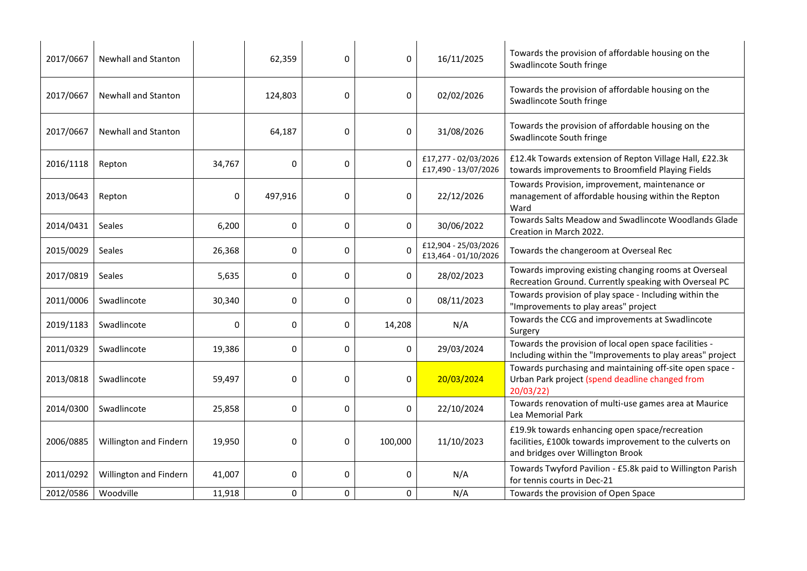| 2017/0667 | <b>Newhall and Stanton</b> |          | 62,359  | 0 | 0        | 16/11/2025                                   | Towards the provision of affordable housing on the<br>Swadlincote South fringe                                                                  |
|-----------|----------------------------|----------|---------|---|----------|----------------------------------------------|-------------------------------------------------------------------------------------------------------------------------------------------------|
| 2017/0667 | <b>Newhall and Stanton</b> |          | 124,803 | 0 | 0        | 02/02/2026                                   | Towards the provision of affordable housing on the<br>Swadlincote South fringe                                                                  |
| 2017/0667 | Newhall and Stanton        |          | 64,187  | 0 | 0        | 31/08/2026                                   | Towards the provision of affordable housing on the<br>Swadlincote South fringe                                                                  |
| 2016/1118 | Repton                     | 34,767   | 0       | 0 |          | £17,277 - 02/03/2026<br>£17,490 - 13/07/2026 | £12.4k Towards extension of Repton Village Hall, £22.3k<br>towards improvements to Broomfield Playing Fields                                    |
| 2013/0643 | Repton                     | 0        | 497,916 | 0 | 0        | 22/12/2026                                   | Towards Provision, improvement, maintenance or<br>management of affordable housing within the Repton<br>Ward                                    |
| 2014/0431 | <b>Seales</b>              | 6,200    | 0       | 0 | $\Omega$ | 30/06/2022                                   | Towards Salts Meadow and Swadlincote Woodlands Glade<br>Creation in March 2022.                                                                 |
| 2015/0029 | Seales                     | 26,368   | 0       | 0 |          | £12,904 - 25/03/2026<br>£13,464 - 01/10/2026 | Towards the changeroom at Overseal Rec                                                                                                          |
| 2017/0819 | Seales                     | 5,635    | 0       | 0 | $\Omega$ | 28/02/2023                                   | Towards improving existing changing rooms at Overseal<br>Recreation Ground. Currently speaking with Overseal PC                                 |
| 2011/0006 | Swadlincote                | 30,340   | 0       | 0 | 0        | 08/11/2023                                   | Towards provision of play space - Including within the<br>"Improvements to play areas" project                                                  |
| 2019/1183 | Swadlincote                | $\Omega$ | 0       | 0 | 14,208   | N/A                                          | Towards the CCG and improvements at Swadlincote<br>Surgery                                                                                      |
| 2011/0329 | Swadlincote                | 19,386   | 0       | 0 | 0        | 29/03/2024                                   | Towards the provision of local open space facilities -<br>Including within the "Improvements to play areas" project                             |
| 2013/0818 | Swadlincote                | 59,497   | 0       | 0 | 0        | 20/03/2024                                   | Towards purchasing and maintaining off-site open space -<br>Urban Park project (spend deadline changed from<br>20/03/22                         |
| 2014/0300 | Swadlincote                | 25,858   | 0       | 0 | 0        | 22/10/2024                                   | Towards renovation of multi-use games area at Maurice<br>Lea Memorial Park                                                                      |
| 2006/0885 | Willington and Findern     | 19,950   | 0       | 0 | 100,000  | 11/10/2023                                   | £19.9k towards enhancing open space/recreation<br>facilities, £100k towards improvement to the culverts on<br>and bridges over Willington Brook |
| 2011/0292 | Willington and Findern     | 41,007   | 0       | 0 | 0        | N/A                                          | Towards Twyford Pavilion - £5.8k paid to Willington Parish<br>for tennis courts in Dec-21                                                       |
| 2012/0586 | Woodville                  | 11,918   | 0       | 0 | 0        | N/A                                          | Towards the provision of Open Space                                                                                                             |